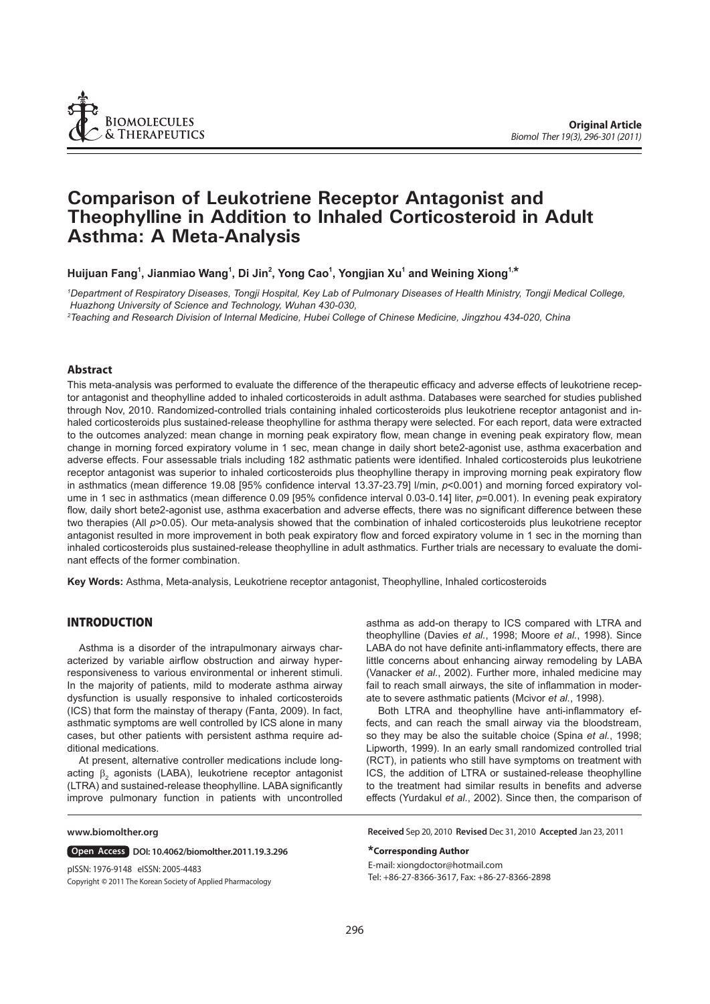

# **Comparison of Leukotriene Receptor Antagonist and Theophylline in Addition to Inhaled Corticosteroid in Adult Asthma: A Meta-Analysis**

**Huijuan Fang1 , Jianmiao Wang1 , Di Jin2 , Yong Cao1 , Yongjian Xu1 and Weining Xiong1,\***

*1 Department of Respiratory Diseases, Tongji Hospital, Key Lab of Pulmonary Diseases of Health Ministry, Tongji Medical College, Huazhong University of Science and Technology, Wuhan 430-030,* 

*2 Teaching and Research Division of Internal Medicine, Hubei College of Chinese Medicine, Jingzhou 434-020, China*

## **Abstract**

This meta-analysis was performed to evaluate the difference of the therapeutic efficacy and adverse effects of leukotriene receptor antagonist and theophylline added to inhaled corticosteroids in adult asthma. Databases were searched for studies published through Nov, 2010. Randomized-controlled trials containing inhaled corticosteroids plus leukotriene receptor antagonist and inhaled corticosteroids plus sustained-release theophylline for asthma therapy were selected. For each report, data were extracted to the outcomes analyzed: mean change in morning peak expiratory flow, mean change in evening peak expiratory flow, mean change in morning forced expiratory volume in 1 sec, mean change in daily short bete2-agonist use, asthma exacerbation and adverse effects. Four assessable trials including 182 asthmatic patients were identified. Inhaled corticosteroids plus leukotriene receptor antagonist was superior to inhaled corticosteroids plus theophylline therapy in improving morning peak expiratory flow in asthmatics (mean difference 19.08 [95% confidence interval 13.37-23.79] *l/min, p<0.001*) and morning forced expiratory volume in 1 sec in asthmatics (mean difference 0.09 [95% confidence interval 0.03-0.14] liter,  $p=0.001$ ). In evening peak expiratory flow, daily short bete2-agonist use, asthma exacerbation and adverse effects, there was no significant difference between these two therapies (All *p*>0.05). Our meta-analysis showed that the combination of inhaled corticosteroids plus leukotriene receptor antagonist resulted in more improvement in both peak expiratory flow and forced expiratory volume in 1 sec in the morning than inhaled corticosteroids plus sustained-release theophylline in adult asthmatics. Further trials are necessary to evaluate the dominant effects of the former combination.

**Key Words:** Asthma, Meta-analysis, Leukotriene receptor antagonist, Theophylline, Inhaled corticosteroids

## **INTRODUCTION**

Asthma is a disorder of the intrapulmonary airways characterized by variable airflow obstruction and airway hyperresponsiveness to various environmental or inherent stimuli. In the majority of patients, mild to moderate asthma airway dysfunction is usually responsive to inhaled corticosteroids (ICS) that form the mainstay of therapy (Fanta, 2009). In fact, asthmatic symptoms are well controlled by ICS alone in many cases, but other patients with persistent asthma require additional medications.

At present, alternative controller medications include longacting  $\beta_2$  agonists (LABA), leukotriene receptor antagonist (LTRA) and sustained-release theophylline. LABA significantly improve pulmonary function in patients with uncontrolled

#### **www.biomolther.org**

**Open Access | DOI: 10.4062/biomolther.2011.19.3.296** 

Copyright **©** 2011 The Korean Society of Applied Pharmacology pISSN: 1976-9148 eISSN: 2005-4483

asthma as add-on therapy to ICS compared with LTRA and theophylline (Davies *et al.*, 1998; Moore *et al.*, 1998). Since LABA do not have definite anti-inflammatory effects, there are little concerns about enhancing airway remodeling by LABA (Vanacker *et al.*, 2002). Further more, inhaled medicine may fail to reach small airways, the site of inflammation in moderate to severe asthmatic patients (Mcivor *et al.*, 1998).

Both LTRA and theophylline have anti-inflammatory effects, and can reach the small airway via the bloodstream, so they may be also the suitable choice (Spina *et al.*, 1998; Lipworth, 1999). In an early small randomized controlled trial (RCT), in patients who still have symptoms on treatment with ICS, the addition of LTRA or sustained-release theophylline to the treatment had similar results in benefits and adverse effects (Yurdakul *et al.*, 2002). Since then, the comparison of

**Received** Sep 20, 2010 **Revised** Dec 31, 2010 **Accepted** Jan 23, 2011

#### **\*Corresponding Author**

E-mail: xiongdoctor@hotmail.com Tel: +86-27-8366-3617, Fax: +86-27-8366-2898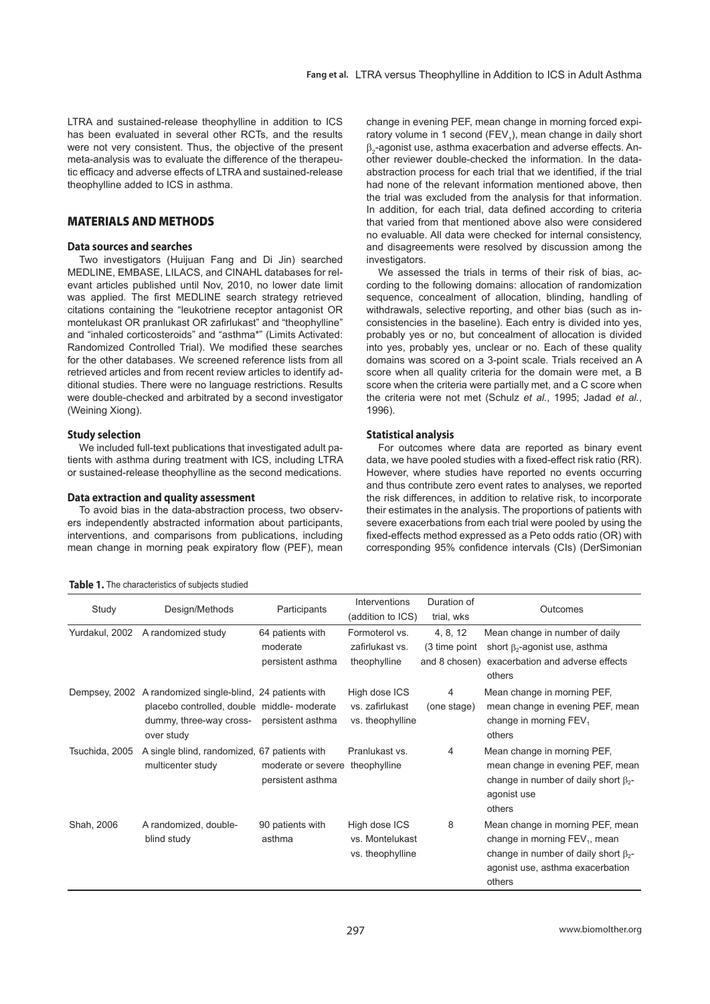LTRA and sustained-release theophylline in addition to ICS has been evaluated in several other RCTs, and the results were not very consistent. Thus, the objective of the present meta-analysis was to evaluate the difference of the therapeutic efficacy and adverse effects of LTRA and sustained-release theophylline added to ICS in asthma.

# **MATERIALS AND METHODS**

### **Data sources and searches**

Two investigators (Huijuan Fang and Di Jin) searched MEDLINE, EMBASE, LILACS, and CINAHL databases for relevant articles published until Nov, 2010, no lower date limit was applied. The first MEDLINE search strategy retrieved citations containing the "leukotriene receptor antagonist OR montelukast OR pranlukast OR zafirlukast" and "theophylline" and "inhaled corticosteroids" and "asthma\*" (Limits Activated: Randomized Controlled Trial). We modified these searches for the other databases. We screened reference lists from all retrieved articles and from recent review articles to identify additional studies. There were no language restrictions. Results were double-checked and arbitrated by a second investigator (Weining Xiong).

## **Study selection**

We included full-text publications that investigated adult patients with asthma during treatment with ICS, including LTRA or sustained-release theophylline as the second medications.

## **Data extraction and quality assessment**

To avoid bias in the data-abstraction process, two observers independently abstracted information about participants, interventions, and comparisons from publications, including mean change in morning peak expiratory flow (PEF), mean

|  |  | Table 1. The characteristics of subjects studied |  |  |  |
|--|--|--------------------------------------------------|--|--|--|
|--|--|--------------------------------------------------|--|--|--|

change in evening PEF, mean change in morning forced expiratory volume in 1 second (FEV<sub>1</sub>), mean change in daily short  $\beta_2$ -agonist use, asthma exacerbation and adverse effects. Another reviewer double-checked the information. In the dataabstraction process for each trial that we identified, if the trial had none of the relevant information mentioned above, then the trial was excluded from the analysis for that information. In addition, for each trial, data defined according to criteria that varied from that mentioned above also were considered no evaluable. All data were checked for internal consistency, and disagreements were resolved by discussion among the investigators.

We assessed the trials in terms of their risk of bias, according to the following domains: allocation of randomization sequence, concealment of allocation, blinding, handling of withdrawals, selective reporting, and other bias (such as inconsistencies in the baseline). Each entry is divided into yes, probably yes or no, but concealment of allocation is divided into yes, probably yes, unclear or no. Each of these quality domains was scored on a 3-point scale. Trials received an A score when all quality criteria for the domain were met, a B score when the criteria were partially met, and a C score when the criteria were not met (Schulz *et al.*, 1995; Jadad *et al.*, 1996).

## **Statistical analysis**

For outcomes where data are reported as binary event data, we have pooled studies with a fixed-effect risk ratio (RR). However, where studies have reported no events occurring and thus contribute zero event rates to analyses, we reported the risk differences, in addition to relative risk, to incorporate their estimates in the analysis. The proportions of patients with severe exacerbations from each trial were pooled by using the fixed-effects method expressed as a Peto odds ratio (OR) with corresponding 95% confidence intervals (CIs) (DerSimonian

|                |                                                                                                                                    |                                                      | <b>Interventions</b>                                 | Duration of                                 |                                                                                                                                                                              |
|----------------|------------------------------------------------------------------------------------------------------------------------------------|------------------------------------------------------|------------------------------------------------------|---------------------------------------------|------------------------------------------------------------------------------------------------------------------------------------------------------------------------------|
| Study          | Design/Methods                                                                                                                     | Participants                                         | (addition to ICS)                                    | trial, wks                                  | Outcomes                                                                                                                                                                     |
| Yurdakul, 2002 | A randomized study                                                                                                                 | 64 patients with<br>moderate<br>persistent asthma    | Formoterol vs.<br>zafirlukast vs.<br>theophylline    | 4, 8, 12<br>(3 time point)<br>and 8 chosen) | Mean change in number of daily<br>short $\beta_2$ -agonist use, asthma<br>exacerbation and adverse effects<br>others                                                         |
| Dempsey, 2002  | A randomized single-blind, 24 patients with<br>placebo controlled, double middle-moderate<br>dummy, three-way cross-<br>over study | persistent asthma                                    | High dose ICS<br>vs. zafirlukast<br>vs. theophylline | 4<br>(one stage)                            | Mean change in morning PEF,<br>mean change in evening PEF, mean<br>change in morning FEV <sub>1</sub><br>others                                                              |
| Tsuchida, 2005 | A single blind, randomized, 67 patients with<br>multicenter study                                                                  | moderate or severe theophylline<br>persistent asthma | Pranlukast vs.                                       | 4                                           | Mean change in morning PEF,<br>mean change in evening PEF, mean<br>change in number of daily short $\beta_{2}$ -<br>agonist use<br>others                                    |
| Shah, 2006     | A randomized, double-<br>blind study                                                                                               | 90 patients with<br>asthma                           | High dose ICS<br>vs. Montelukast<br>vs. theophylline | 8                                           | Mean change in morning PEF, mean<br>change in morning FEV <sub>1</sub> , mean<br>change in number of daily short $\beta_{2}$ -<br>agonist use, asthma exacerbation<br>others |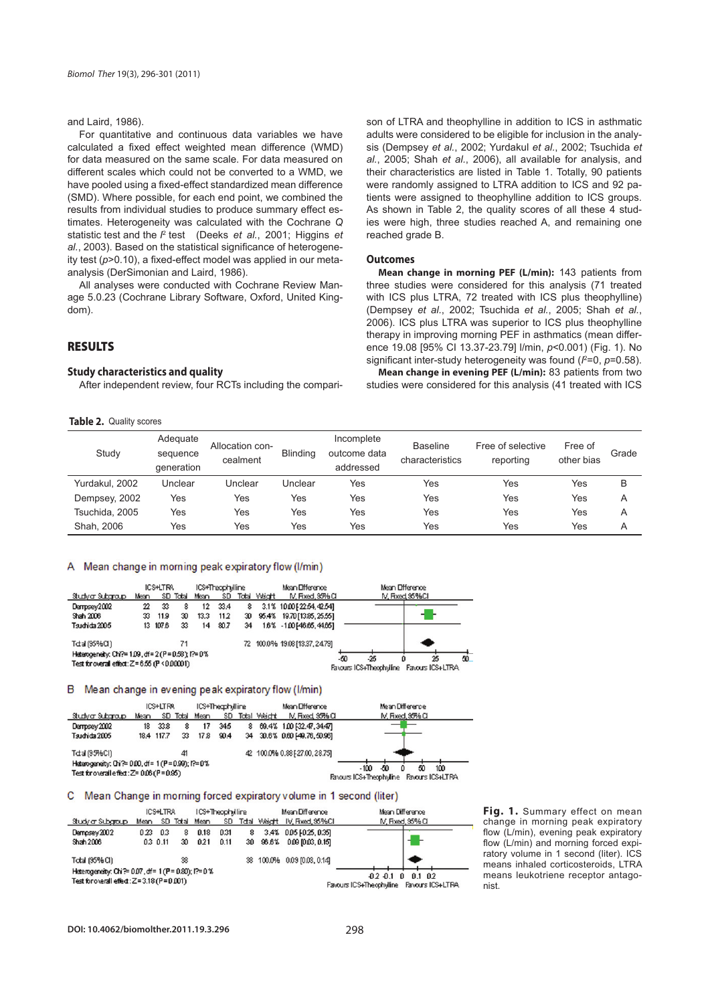## and Laird, 1986).

For quantitative and continuous data variables we have calculated a fixed effect weighted mean difference (WMD) for data measured on the same scale. For data measured on different scales which could not be converted to a WMD, we have pooled using a fixed-effect standardized mean difference (SMD). Where possible, for each end point, we combined the results from individual studies to produce summary effect estimates. Heterogeneity was calculated with the Cochrane *Q* statistic test and the <sup>p</sup> test (Deeks *et al.*, 2001; Higgins *et* al., 2003). Based on the statistical significance of heterogeneity test (p>0.10), a fixed-effect model was applied in our metaanalysis (DerSimonian and Laird, 1986).

All analyses were conducted with Cochrane Review Manage 5.0.23 (Cochrane Library Software, Oxford, United Kingdom).

# **RESULTS**

## **Study characteristics and quality**

After independent review, four RCTs including the compari-

#### **Table 2.** Quality scores

son of LTRA and theophylline in addition to ICS in asthmatic adults were considered to be eligible for inclusion in the analysis (Dempsey *et al.*, 2002; Yurdakul *et al.*, 2002; Tsuchida *et al.*, 2005; Shah *et al.*, 2006), all available for analysis, and their characteristics are listed in Table 1. Totally, 90 patients were randomly assigned to LTRA addition to ICS and 92 patients were assigned to theophylline addition to ICS groups. As shown in Table 2, the quality scores of all these 4 studies were high, three studies reached A, and remaining one reached grade B.

#### **Outcomes**

**Mean change in morning PEF (L/min):** 143 patients from three studies were considered for this analysis (71 treated with ICS plus LTRA, 72 treated with ICS plus theophylline) (Dempsey *et al.*, 2002; Tsuchida *et al.*, 2005; Shah *et al.*, 2006). ICS plus LTRA was superior to ICS plus theophylline therapy in improving morning PEF in asthmatics (mean difference 19.08 [95% CI 13.37-23.79] l/min, *p*<0.001) (Fig. 1). No significant inter-study heterogeneity was found ( $l^2$ =0,  $p$ =0.58).

**Mean change in evening PEF (L/min):** 83 patients from two studies were considered for this analysis (41 treated with ICS

| Study          | Adequate<br>sequence<br>qeneration | Allocation con-<br>cealment | <b>Blinding</b> | Incomplete<br>outcome data<br>addressed | <b>Baseline</b><br>characteristics | Free of selective<br>reporting | Free of<br>other bias | Grade |
|----------------|------------------------------------|-----------------------------|-----------------|-----------------------------------------|------------------------------------|--------------------------------|-----------------------|-------|
| Yurdakul, 2002 | Unclear                            | Unclear                     | Unclear         | Yes                                     | Yes                                | Yes                            | Yes                   | B     |
| Dempsey, 2002  | Yes                                | Yes                         | Yes             | Yes                                     | Yes                                | Yes                            | Yes                   | A     |
| Tsuchida, 2005 | Yes                                | Yes                         | Yes             | Yes                                     | Yes                                | Yes                            | Yes                   | A     |
| Shah, 2006     | Yes                                | Yes                         | Yes             | Yes                                     | Yes                                | Yes                            | Yes                   | A     |

## A Mean change in morning peak expiratory flow (I/min)

|                                                      |      | ICSHLTRA |          |      | ICS+Theophylline |    |              | Mean Ofference                 |     |                         | Mean Ofference |                  |    |
|------------------------------------------------------|------|----------|----------|------|------------------|----|--------------|--------------------------------|-----|-------------------------|----------------|------------------|----|
| Studyar Subgroup                                     | Mean |          | SD Total | Mean | SD.              |    | Total Waight | IV, Fixed, 95% O               |     |                         | M. Fixed 95%CI |                  |    |
| Dempsey2002                                          | 22   | 33       | 8        | 12   | 33.4             | 8  |              | 3.1% 10.00 [22.54, 42.54]      |     |                         |                |                  |    |
| Shah 2006                                            | 33   | 11.9     | 30       | 13.3 | 11.2             |    |              | 30 95.4% 19.70 [13.85, 25.55]  |     |                         |                |                  |    |
| Tsudrida 2005                                        |      | 13 107.6 | 33       | 14   | 80.7             | 34 |              | 1.6% - 1.00 [46.65, 44.65]     |     |                         |                |                  |    |
| Tdal (95%CI)                                         |      |          | 71       |      |                  |    |              | 72 100.0% 19.08 [13.37, 24.79] |     |                         |                |                  |    |
| Heterogeneity: Chi?= 1.09, df = 2 (P = 0.58); l?= 0% |      |          |          |      |                  |    |              |                                | -50 | -25                     |                | 25               | 50 |
| Test for overall effect: Z = 6.55 (P < 0.00001)      |      |          |          |      |                  |    |              |                                |     | Favours ICS+Theophyline |                | Favours ICS+LTRA |    |

#### B Mean change in evening peak expiratory flow (I/min)

|                                                      |      | ICS+LTRA   |          |      | ICS+Theaphylline |   |                 | Mean Ofference                | Mean Difference                             |
|------------------------------------------------------|------|------------|----------|------|------------------|---|-----------------|-------------------------------|---------------------------------------------|
| Studyar Subgroup                                     | Mean |            | SD Total | Mean |                  |   | SD Total Weidht | IV, Fixed 95% O               | IV, Fixed, 95% CI                           |
| Dempsey 2002                                         | 18   | 33.8       | 8        | 17   | 345              | 8 |                 | 69.4% 1.00 [32.47, 34.47]     |                                             |
| Tsudrida 2005                                        |      | 18.4 117.7 | 33       | 17.8 | 90.4             |   |                 | 34 30.6% 0.60 [49.76, 50.96]  |                                             |
| Tctal (95%Cl)                                        |      |            | 41       |      |                  |   |                 | 42 100.0% 0.88 [27.00, 28.75] |                                             |
| Heterogeneity: Chi?= 0.00, df = 1 (P = 0.99); l?= 0% |      |            |          |      |                  |   |                 |                               | -50<br>$-100$<br>100<br>50                  |
| Test for onerall effect: Z= 0.06 (P = 0.95)          |      |            |          |      |                  |   |                 |                               | Favours ICS+Theophyline<br>Favours ICS+LTRA |

#### C Mean Change in morning forced expiratory volume in 1 second (liter)

|                                                    |      | ICS+LTRA<br>ICS+Theophylline |    |                    |      |   |          | Mean Difference                   | Mean Difference                          |
|----------------------------------------------------|------|------------------------------|----|--------------------|------|---|----------|-----------------------------------|------------------------------------------|
| Study ar Subgroup                                  |      |                              |    | Mean SD Total Mean |      |   |          | SD Tdtal Weight IV, Fixed, 95% CI | IV, Fixed, 95% CI                        |
| Dempsey 2002                                       | 0.23 | 03                           | 8  | 0.18               | 0.31 | 8 |          | 3.4% 0.05 [0.25, 0.35]            |                                          |
| Shah 2006                                          |      | 0.3 0.11                     | 30 | 021                | 0.11 |   | 30 96.6% | 0.09 10.03, 0.151                 |                                          |
| Total (95% CI)                                     |      |                              | 38 |                    |      |   |          | 38 100.0% 0.09 [0.03, 0.14]       |                                          |
| Heterogeneity: Chi?= 0.07, df = 1 (P = 0.80); P=0% |      |                              |    |                    |      |   |          |                                   | $-0.2 - 0.1$ 0 0.1 0.2                   |
| Test for overall effect: Z=3.18 (P=0.001)          |      |                              |    |                    |      |   |          |                                   | Favours ICS+Theophyline Favours ICS+LTRA |

**Fig. 1.** Summary effect on mean change in morning peak expiratory flow (L/min), evening peak expiratory flow (L/min) and morning forced expiratory volume in 1 second (liter). ICS means inhaled corticosteroids, LTRA means leukotriene receptor antagonist.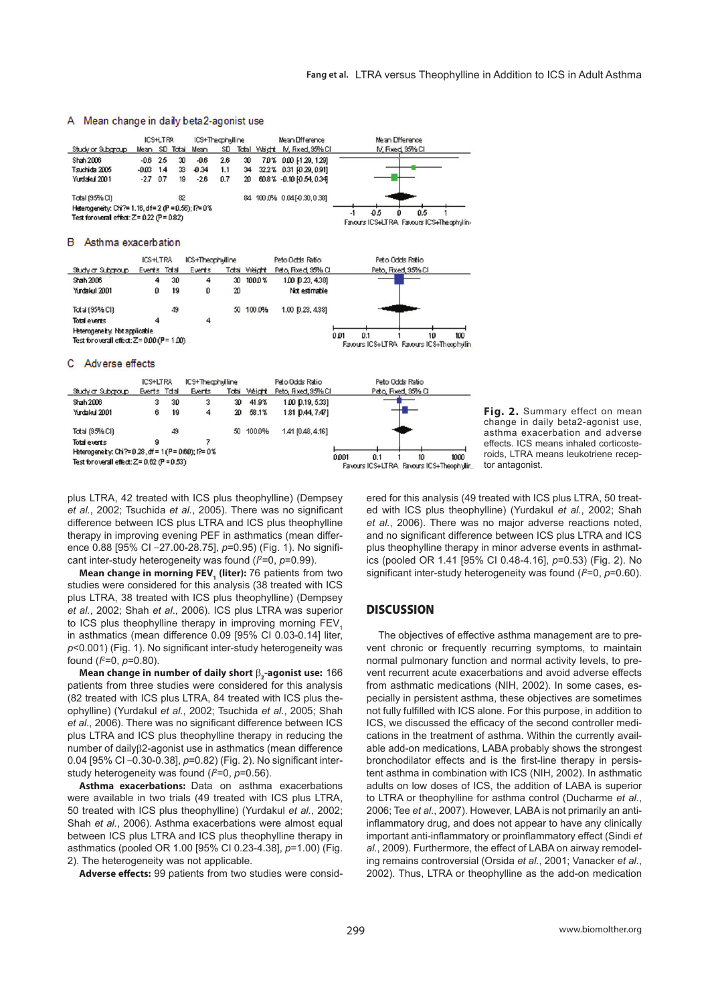## A Mean change in daily beta2-agonist use

|                                                     |               | ICS+LTRA |    | ICS+Theaphylline |     |    | Mean Ofference                | Mean Ofference                           |
|-----------------------------------------------------|---------------|----------|----|------------------|-----|----|-------------------------------|------------------------------------------|
| Study or Subgroup                                   | Mean SD Total |          |    | Mean             | SD. |    | Total Waight M, Fixed, 35% CI | M, Fixed, 95% CI                         |
| Shah 2006                                           | -0.6          | 25       | 30 | -0.6             | 2.6 | 30 | 7.0% 0.00 [1.29, 1.29]        |                                          |
| Tsudhida 2005                                       | $-0.03$       | 1.4      | 33 | $-0.34$          | 1.1 | 34 | 32.2% 0.31 [0.29, 0.91]       |                                          |
| Yurdakul 2001                                       | $-2.7$ 0.7    |          | 19 | $-28$            | 0.7 |    | 20 608% -0.10 10 54, 0.341    |                                          |
| Total (95% CI)                                      |               |          | 82 |                  |     |    | 84 100 0% 0 04 [-0.30, 0.38]  |                                          |
| Heterogeneity: Chi?= 1.16, df= 2 (P = 0.56); l?= 0% |               |          |    |                  |     |    |                               | 0.5<br>-05<br>۰                          |
| Test for overall effect: $Z = 0.22$ (P = 0.82)      |               |          |    |                  |     |    |                               | Favours ICS+LTRA Favours ICS+Theophyllin |

#### B Asthma exacerbation



#### C Adverse effects

|                                                    | ICS+LTRA     |    | ICS+Thegphylline |       |        | Peto Odds Ratio     | Peto Odds Ratio                                                       |
|----------------------------------------------------|--------------|----|------------------|-------|--------|---------------------|-----------------------------------------------------------------------|
| Study ar Subgroup                                  | Everts Tctal |    | Events           | Total | Weight | Peto, Fixed, 95% CI | Peto, Fixed, 95% CI                                                   |
| Shah 2006                                          | 3            | 30 | 3                | 30    | 41.9%  | 1.00 D.19, 5.331    |                                                                       |
| Yurdakul 2001                                      | 6            | 19 | 4                | 20    | 58.1%  | 1.81 D.44, 7.47]    |                                                                       |
| Total (95% CI)                                     |              | 49 |                  | 50    | 100.0% | 1.41 [0.48, 4.16]   |                                                                       |
| Total events                                       | я            |    |                  |       |        |                     |                                                                       |
| Heterogeneity: Chi?=0.28, df = 1 (P = 0.60); f?=0% |              |    |                  |       |        |                     |                                                                       |
| Test for overall effect: $Z = 0.62$ (P = $0.53$ )  |              |    |                  |       |        |                     | 0.001<br>1000<br>0.1<br>10<br>Favours ICS+LTRA Favours ICS+Theophylin |



plus LTRA, 42 treated with ICS plus theophylline) (Dempsey *et al.*, 2002; Tsuchida *et al.*, 2005). There was no significant difference between ICS plus LTRA and ICS plus theophylline therapy in improving evening PEF in asthmatics (mean difference 0.88 [95% CI -27.00-28.75],  $p=0.95$ ) (Fig. 1). No significant inter-study heterogeneity was found ( $\ell$ =0, p=0.99).

**Mean change in morning FEV<sub>1</sub> (liter):** 76 patients from two studies were considered for this analysis (38 treated with ICS plus LTRA, 38 treated with ICS plus theophylline) (Dempsey *et al.*, 2002; Shah *et al*., 2006). ICS plus LTRA was superior to ICS plus theophylline therapy in improving morning  $FEV<sub>4</sub>$ in asthmatics (mean difference 0.09 [95% CI 0.03-0.14] liter, p<0.001) (Fig. 1). No significant inter-study heterogeneity was found ( $l^2$ =0,  $p$ =0.80).

**Mean change in number of daily short** β**<sup>2</sup> -agonist use:** 166 patients from three studies were considered for this analysis (82 treated with ICS plus LTRA, 84 treated with ICS plus theophylline) (Yurdakul *et al.*, 2002; Tsuchida *et al.*, 2005; Shah et al., 2006). There was no significant difference between ICS plus LTRA and ICS plus theophylline therapy in reducing the number of dailyβ2-agonist use in asthmatics (mean difference 0.04 [95% CI -0.30-0.38], p=0.82) (Fig. 2). No significant interstudy heterogeneity was found ( $l^2=0$ ,  $p=0.56$ ).

**Asthma exacerbations:** Data on asthma exacerbations were available in two trials (49 treated with ICS plus LTRA, 50 treated with ICS plus theophylline) (Yurdakul *et al.*, 2002; Shah *et al.*, 2006). Asthma exacerbations were almost equal between ICS plus LTRA and ICS plus theophylline therapy in asthmatics (pooled OR 1.00 [95% CI 0.23-4.38], *p*=1.00) (Fig. 2). The heterogeneity was not applicable.

Adverse effects: 99 patients from two studies were consid-

ered for this analysis (49 treated with ICS plus LTRA, 50 treated with ICS plus theophylline) (Yurdakul *et al.*, 2002; Shah *et al.*, 2006). There was no major adverse reactions noted, and no significant difference between ICS plus LTRA and ICS plus theophylline therapy in minor adverse events in asthmatics (pooled OR 1.41 [95% CI 0.48-4.16], *p*=0.53) (Fig. 2). No significant inter-study heterogeneity was found  $(l^2=0, p=0.60)$ .

## **DISCUSSION**

The objectives of effective asthma management are to prevent chronic or frequently recurring symptoms, to maintain normal pulmonary function and normal activity levels, to prevent recurrent acute exacerbations and avoid adverse effects from asthmatic medications (NIH, 2002). In some cases, especially in persistent asthma, these objectives are sometimes not fully fulfilled with ICS alone. For this purpose, in addition to ICS, we discussed the efficacy of the second controller medications in the treatment of asthma. Within the currently available add-on medications, LABA probably shows the strongest bronchodilator effects and is the first-line therapy in persistent asthma in combination with ICS (NIH, 2002). In asthmatic adults on low doses of ICS, the addition of LABA is superior to LTRA or theophylline for asthma control (Ducharme *et al.*, 2006; Tee *et al.*, 2007). However, LABA is not primarily an antiinflammatory drug, and does not appear to have any clinically important anti-inflammatory or proinflammatory effect (Sindi et *al.*, 2009). Furthermore, the effect of LABA on airway remodeling remains controversial (Orsida *et al.*, 2001; Vanacker *et al.*, 2002). Thus, LTRA or theophylline as the add-on medication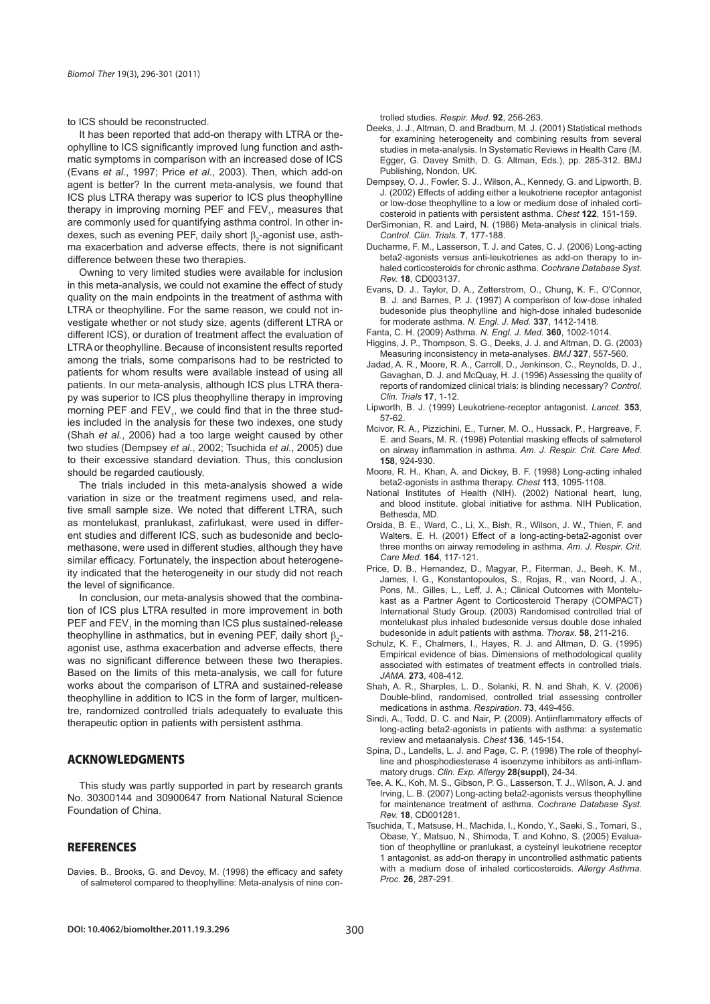to ICS should be reconstructed.

It has been reported that add-on therapy with LTRA or theophylline to ICS significantly improved lung function and asthmatic symptoms in comparison with an increased dose of ICS (Evans *et al.*, 1997; Price *et al.*, 2003). Then, which add-on agent is better? In the current meta-analysis, we found that ICS plus LTRA therapy was superior to ICS plus theophylline therapy in improving morning PEF and  $FEV_{1}$ , measures that are commonly used for quantifying asthma control. In other indexes, such as evening PEF, daily short  $\beta_2$ -agonist use, asthma exacerbation and adverse effects, there is not significant difference between these two therapies.

Owning to very limited studies were available for inclusion in this meta-analysis, we could not examine the effect of study quality on the main endpoints in the treatment of asthma with LTRA or theophylline. For the same reason, we could not investigate whether or not study size, agents (different LTRA or different ICS), or duration of treatment affect the evaluation of LTRA or theophylline. Because of inconsistent results reported among the trials, some comparisons had to be restricted to patients for whom results were available instead of using all patients. In our meta-analysis, although ICS plus LTRA therapy was superior to ICS plus theophylline therapy in improving morning PEF and  $FEV$ <sub>1</sub>, we could find that in the three studies included in the analysis for these two indexes, one study (Shah *et al.*, 2006) had a too large weight caused by other two studies (Dempsey *et al.*, 2002; Tsuchida *et al.*, 2005) due to their excessive standard deviation. Thus, this conclusion should be regarded cautiously.

The trials included in this meta-analysis showed a wide variation in size or the treatment regimens used, and relative small sample size. We noted that different LTRA, such as montelukast, pranlukast, zafirlukast, were used in different studies and different ICS, such as budesonide and beclomethasone, were used in different studies, although they have similar efficacy. Fortunately, the inspection about heterogeneity indicated that the heterogeneity in our study did not reach the level of significance.

In conclusion, our meta-analysis showed that the combination of ICS plus LTRA resulted in more improvement in both PEF and  $FEV<sub>1</sub>$  in the morning than ICS plus sustained-release theophylline in asthmatics, but in evening PEF, daily short  $\beta_2$ agonist use, asthma exacerbation and adverse effects, there was no significant difference between these two therapies. Based on the limits of this meta-analysis, we call for future works about the comparison of LTRA and sustained-release theophylline in addition to ICS in the form of larger, multicentre, randomized controlled trials adequately to evaluate this therapeutic option in patients with persistent asthma.

# **ACKNOWLEDGMENTS**

This study was partly supported in part by research grants No. 30300144 and 30900647 from National Natural Science Foundation of China.

## **REFERENCES**

Davies, B., Brooks, G. and Devoy, M. (1998) the efficacy and safety of salmeterol compared to theophylline: Meta-analysis of nine controlled studies. *Respir. Med.* **92**, 256-263.

- Deeks, J. J., Altman, D. and Bradburn, M. J. (2001) Statistical methods for examining heterogeneity and combining results from several studies in meta-analysis. In Systematic Reviews in Health Care (M. Egger, G. Davey Smith, D. G. Altman, Eds.), pp. 285-312. BMJ Publishing, Nondon, UK.
- Dempsey, O. J., Fowler, S. J., Wilson, A., Kennedy, G. and Lipworth, B. J. (2002) Effects of adding either a leukotriene receptor antagonist or low-dose theophylline to a low or medium dose of inhaled corticosteroid in patients with persistent asthma. *Chest* **122**, 151-159.
- DerSimonian, R. and Laird, N. (1986) Meta-analysis in clinical trials. *Control. Clin. Trials.* **7**, 177-188.
- Ducharme, F. M., Lasserson, T. J. and Cates, C. J. (2006) Long-acting beta2-agonists versus anti-leukotrienes as add-on therapy to inhaled corticosteroids for chronic asthma. *Cochrane Database Syst. Rev.* **18**, CD003137.
- Evans, D. J., Taylor, D. A., Zetterstrom, O., Chung, K. F., O'Connor, B. J. and Barnes, P. J. (1997) A comparison of low-dose inhaled budesonide plus theophylline and high-dose inhaled budesonide for moderate asthma. *N. Engl. J. Med.* **337**, 1412-1418.
- Fanta, C. H. (2009) Asthma. *N. Engl. J. Med.* **360**, 1002-1014.
- Higgins, J. P., Thompson, S. G., Deeks, J. J. and Altman, D. G. (2003) Measuring inconsistency in meta-analyses. *BMJ* **327**, 557-560.
- Jadad, A. R., Moore, R. A., Carroll, D., Jenkinson, C., Reynolds, D. J., Gavaghan, D. J. and McQuay, H. J. (1996) Assessing the quality of reports of randomized clinical trials: is blinding necessary? *Control. Clin. Trials* **17**, 1-12.
- Lipworth, B. J. (1999) Leukotriene-receptor antagonist. *Lancet.* **353**, 57-62.
- Mcivor, R. A., Pizzichini, E., Turner, M. O., Hussack, P., Hargreave, F. E. and Sears, M. R. (1998) Potential masking effects of salmeterol on airway inflammation in asthma. Am. J. Respir. Crit. Care Med. **158**, 924-930.
- Moore, R. H., Khan, A. and Dickey, B. F. (1998) Long-acting inhaled beta2-agonists in asthma therapy. *Chest* **113**, 1095-1108.
- National Institutes of Health (NIH). (2002) National heart, lung, and blood institute. global initiative for asthma. NIH Publication, Bethesda, MD.
- Orsida, B. E., Ward, C., Li, X., Bish, R., Wilson, J. W., Thien, F. and Walters, E. H. (2001) Effect of a long-acting-beta2-agonist over three months on airway remodeling in asthma. *Am. J. Respir. Crit. Care Med.* **164**, 117-121.
- Price, D. B., Hernandez, D., Magyar, P., Fiterman, J., Beeh, K. M., James, I. G., Konstantopoulos, S., Rojas, R., van Noord, J. A., Pons, M., Gilles, L., Leff, J. A.; Clinical Outcomes with Montelukast as a Partner Agent to Corticosteroid Therapy (COMPACT) International Study Group. (2003) Randomised controlled trial of montelukast plus inhaled budesonide versus double dose inhaled budesonide in adult patients with asthma. *Thorax.* **58**, 211-216.
- Schulz, K. F., Chalmers, I., Hayes, R. J. and Altman, D. G. (1995) Empirical evidence of bias. Dimensions of methodological quality associated with estimates of treatment effects in controlled trials. *JAMA.* **273**, 408-412.
- Shah, A. R., Sharples, L. D., Solanki, R. N. and Shah, K. V. (2006) Double-blind, randomised, controlled trial assessing controller medications in asthma. *Respiration*. **73**, 449-456.
- Sindi, A., Todd, D. C. and Nair, P. (2009). Antiinflammatory effects of long-acting beta2-agonists in patients with asthma: a systematic review and metaanalysis. *Chest* **136**, 145-154.
- Spina, D., Landells, L. J. and Page, C. P. (1998) The role of theophylline and phosphodiesterase 4 isoenzyme inhibitors as anti-inflammatory drugs. *Clin. Exp. Allergy* **28(suppl)**, 24-34.
- Tee, A. K., Koh, M. S., Gibson, P. G., Lasserson, T. J., Wilson, A. J. and Irving, L. B. (2007) Long-acting beta2-agonists versus theophylline for maintenance treatment of asthma. *Cochrane Database Syst. Rev.* **18**, CD001281.
- Tsuchida, T., Matsuse, H., Machida, I., Kondo, Y., Saeki, S., Tomari, S., Obase, Y., Matsuo, N., Shimoda, T. and Kohno, S. (2005) Evaluation of theophylline or pranlukast, a cysteinyl leukotriene receptor 1 antagonist, as add-on therapy in uncontrolled asthmatic patients with a medium dose of inhaled corticosteroids. *Allergy Asthma. Proc.* **26**, 287-291.